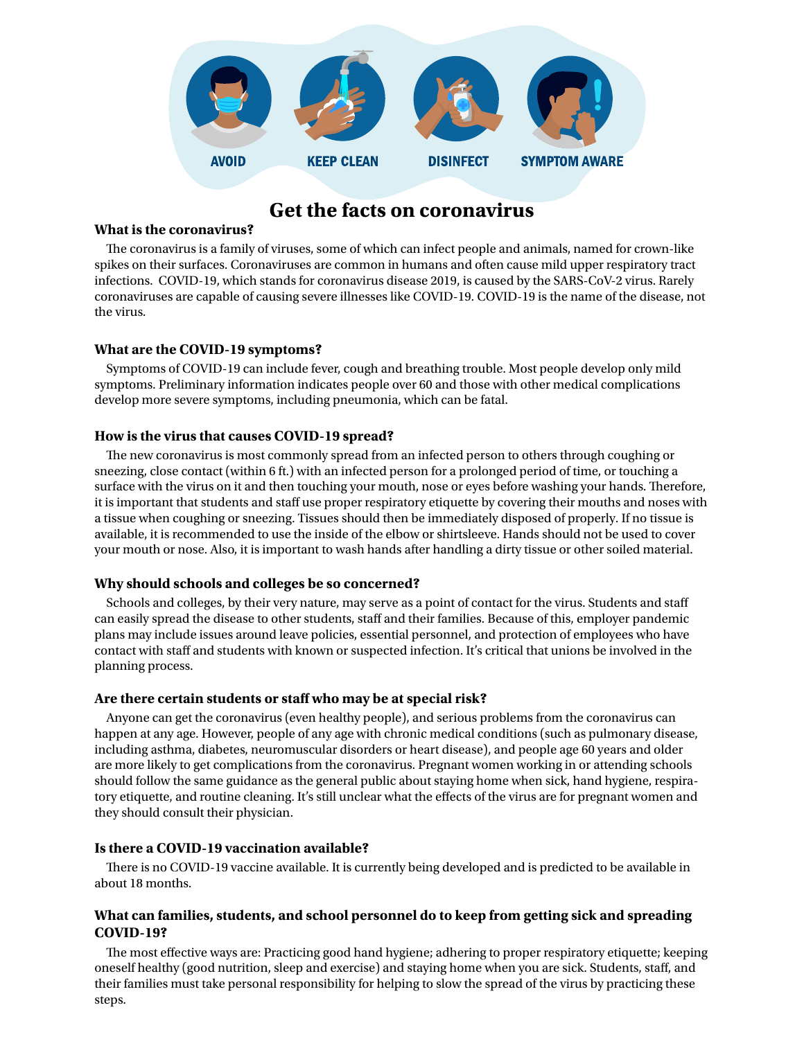

# **Get the facts on coronavirus**

#### **What is the coronavirus?**

The coronavirus is a family of viruses, some of which can infect people and animals, named for crown-like spikes on their surfaces. Coronaviruses are common in humans and often cause mild upper respiratory tract infections. COVID-19, which stands for coronavirus disease 2019, is caused by the SARS-CoV-2 virus. Rarely coronaviruses are capable of causing severe illnesses like COVID-19. COVID-19 is the name of the disease, not the virus.

#### **What are the COVID-19 symptoms?**

Symptoms of COVID-19 can include fever, cough and breathing trouble. Most people develop only mild symptoms. Preliminary information indicates people over 60 and those with other medical complications develop more severe symptoms, including pneumonia, which can be fatal.

#### **How is the virus that causes COVID-19 spread?**

The new coronavirus is most commonly spread from an infected person to others through coughing or sneezing, close contact (within 6 ft.) with an infected person for a prolonged period of time, or touching a surface with the virus on it and then touching your mouth, nose or eyes before washing your hands. Therefore, it is important that students and staff use proper respiratory etiquette by covering their mouths and noses with a tissue when coughing or sneezing. Tissues should then be immediately disposed of properly. If no tissue is available, it is recommended to use the inside of the elbow or shirtsleeve. Hands should not be used to cover your mouth or nose. Also, it is important to wash hands after handling a dirty tissue or other soiled material.

#### **Why should schools and colleges be so concerned?**

Schools and colleges, by their very nature, may serve as a point of contact for the virus. Students and staff can easily spread the disease to other students, staff and their families. Because of this, employer pandemic plans may include issues around leave policies, essential personnel, and protection of employees who have contact with staff and students with known or suspected infection. It's critical that unions be involved in the planning process.

#### **Are there certain students or staff who may be at special risk?**

Anyone can get the coronavirus (even healthy people), and serious problems from the coronavirus can happen at any age. However, people of any age with chronic medical conditions (such as pulmonary disease, including asthma, diabetes, neuromuscular disorders or heart disease), and people age 60 years and older are more likely to get complications from the coronavirus. Pregnant women working in or attending schools should follow the same guidance as the general public about staying home when sick, hand hygiene, respiratory etiquette, and routine cleaning. It's still unclear what the effects of the virus are for pregnant women and they should consult their physician.

#### **Is there a COVID-19 vaccination available?**

There is no COVID-19 vaccine available. It is currently being developed and is predicted to be available in about 18 months.

## **What can families, students, and school personnel do to keep from getting sick and spreading COVID-19?**

The most effective ways are: Practicing good hand hygiene; adhering to proper respiratory etiquette; keeping oneself healthy (good nutrition, sleep and exercise) and staying home when you are sick. Students, staff, and their families must take personal responsibility for helping to slow the spread of the virus by practicing these steps.